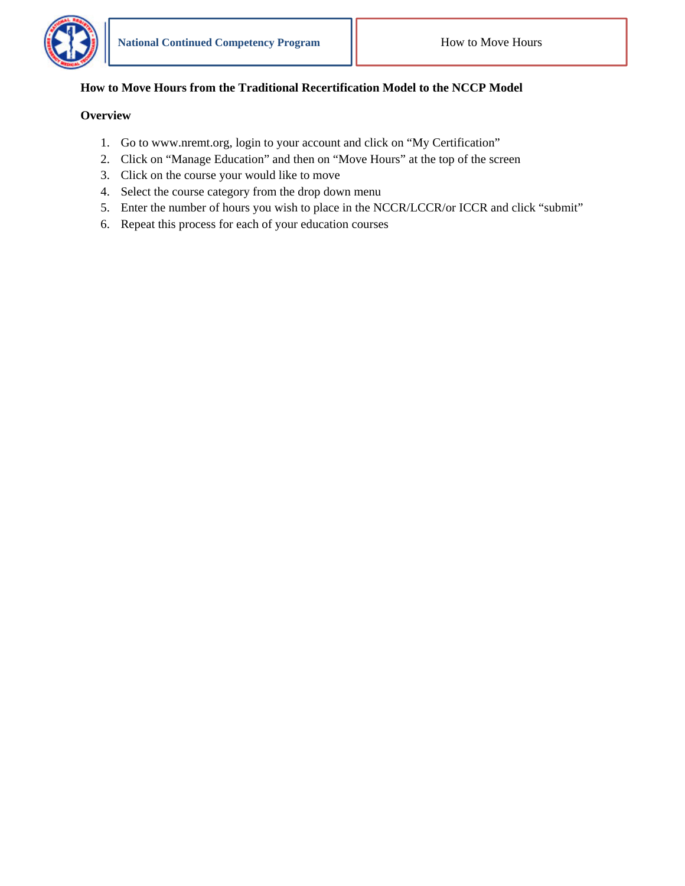

## **How to Move Hours from the Traditional Recertification Model to the NCCP Model**

## **Overview**

- 1. Go to www.nremt.org, login to your account and click on "My Certification"
- 2. Click on "Manage Education" and then on "Move Hours" at the top of the screen
- 3. Click on the course your would like to move
- 4. Select the course category from the drop down menu
- 5. Enter the number of hours you wish to place in the NCCR/LCCR/or ICCR and click "submit"
- 6. Repeat this process for each of your education courses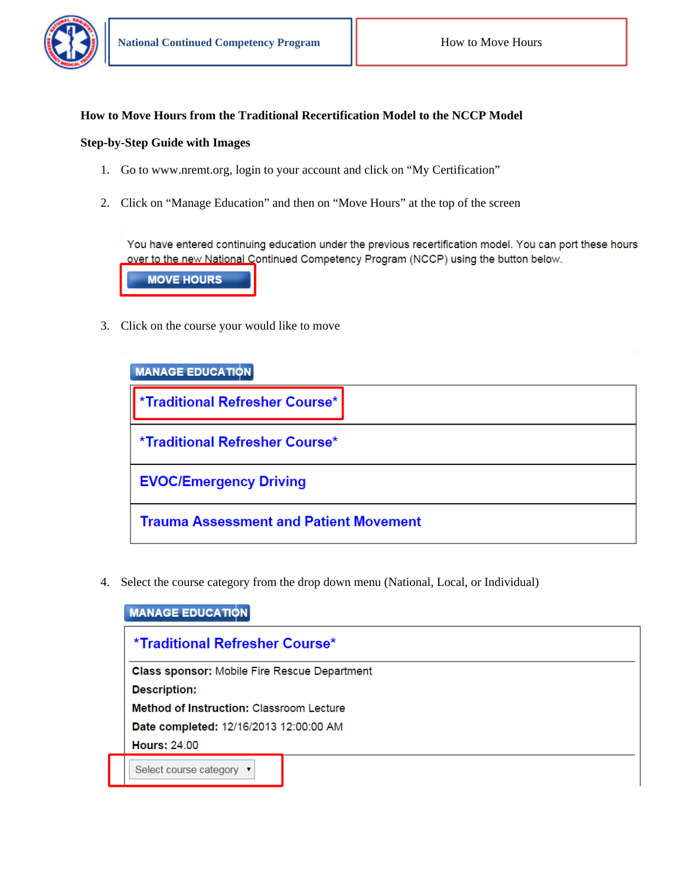

## **How to Move Hours from the Traditional Recertification Model to the NCCP Model**

## **Step-by-Step Guide with Images**

- 1. Go to www.nremt.org, login to your account and click on "My Certification"
- 2. Click on "Manage Education" and then on "Move Hours" at the top of the screen

You have entered continuing education under the previous recertification model. You can port these hours over to the new National Continued Competency Program (NCCP) using the button below.

**MOVE HOURS** 

3. Click on the course your would like to move

| <b>MANAGE EDUCATION</b>                       |  |
|-----------------------------------------------|--|
| *Traditional Refresher Course*                |  |
| <b>*Traditional Refresher Course*</b>         |  |
| <b>EVOC/Emergency Driving</b>                 |  |
| <b>Trauma Assessment and Patient Movement</b> |  |

4. Select the course category from the drop down menu (National, Local, or Individual)